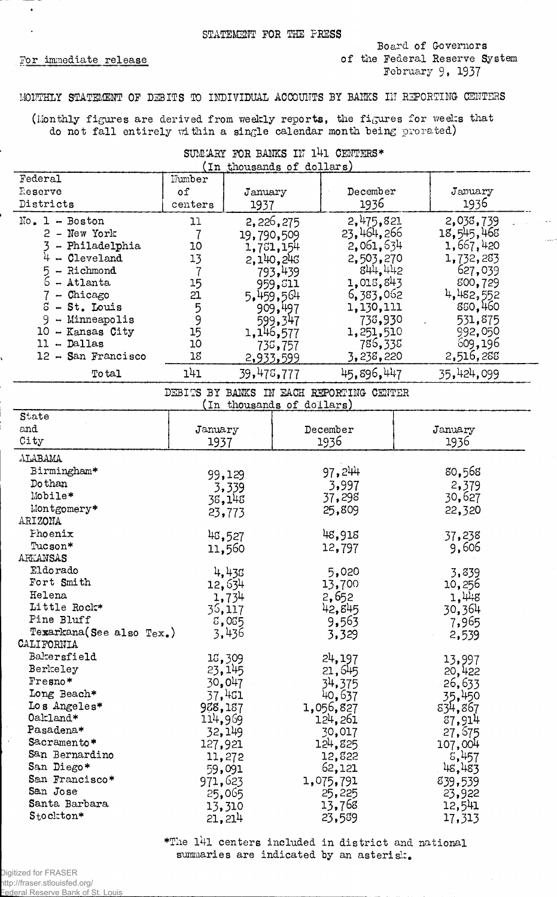Por immediate release

 $\ddotsc$ .<br>. . . . . . . .

## MONTHLY STATEMENT OF DEBITS TO INDIVIDUAL ACCOUNTS BY BANKS IN REPORTING CENTERS

(Monthly figures are derived from weekly reports, the figures for weeks that do not fall entirely within a single calendar month being prorated)

| SUMMARY FOR BANKS IN 141 CENTERS* |                           |  |  |
|-----------------------------------|---------------------------|--|--|
|                                   | (In thousands of dollars) |  |  |

| Federal                  | Number         |                           |           |                                          |                  |
|--------------------------|----------------|---------------------------|-----------|------------------------------------------|------------------|
| Reserve                  | of             | January                   |           | December                                 | January          |
| Districts                | centers        | 1937                      |           | 1936                                     | 1936             |
| $No. 1 - Boston$         | 11             |                           | 2,226,275 | 2,475,821                                | 2,038,739        |
| 2 - New York             | $\overline{7}$ | 19,790,509                |           | 23,464,266                               | 18,545,468       |
| - Philadelphia           | 10             |                           | 1,761,154 | 2,061,634                                | 1,667,420        |
| $4 - \text{Cleveland}$   | 13             |                           | 2,140,246 | 2,503,270                                | 1,732,283        |
| 5<br>- Richmond          | $\overline{7}$ |                           | 793,439   | 844,442                                  | 627,039          |
| 6<br>- Atlanta           | 15             |                           | 959, 311  | 1,015,843                                | 800,729          |
| $7 -$ Chicago            | 21             |                           | 5,459,564 | 6,383,062                                | 4,482,552        |
| S<br>- St. Louis         |                |                           | 909,497   | 1,130,111                                | 850,460          |
| 9<br>- Minneapolis       | $\frac{5}{9}$  |                           | 599,347   | 738,930                                  | 531,875          |
| 10 - Kansas City         | 15             |                           | 1,146,577 | 1,251,510                                | 992,050          |
| $11 - Dallas$            | 10             |                           | 738,757   | 786,338                                  | 609,196          |
| 12 - San Francisco       | 18             |                           | 2,933,599 | 3,238,220                                | 2,516,288        |
| To tal                   | 141            | 39,475,777                |           | 45,896,447                               | 35,424,099       |
|                          |                |                           |           | DEBITS BY BANKS IN EACH REPORTING CENTER |                  |
|                          |                | (In thousands of dollars) |           |                                          |                  |
| State                    |                |                           |           |                                          |                  |
| and                      | January        |                           |           | December                                 | January          |
| City                     | 1937           |                           |           | 1936                                     | 1936             |
| ALABAMA                  |                |                           |           |                                          |                  |
| Birmingham*              |                | 99,129                    |           | 97,244                                   | 80,565           |
| Do than                  |                | 3,339                     |           | 3,997                                    | 2,379            |
| Mobile*                  | 38,148         |                           |           | 37,298                                   | 30,627           |
| Montgomery*              | 23,773         |                           |           | 25,809                                   | 22,320           |
| ARIZONA                  |                |                           |           |                                          |                  |
| Phoenix                  |                | 48,527                    |           | 48,918                                   | 37,238           |
| Tucson*                  |                | 11,560                    |           | 12,797                                   | 9,606            |
| ARKANSAS<br>Eldorado     |                |                           |           |                                          |                  |
| Fort Smith               |                | 4,438                     |           | 5,020                                    | 3,839            |
| Helena                   |                | 12,634                    |           | 13,700                                   | 10,256           |
| Little Rock*             |                | 1,734                     |           | 2,652                                    | 1,448            |
| Pine Bluff               |                | 36,117                    |           | 42,845                                   | 30,364           |
| Texarkana(See also Tex.) |                | 5,035<br>3,436            |           | $9,56\overline{3}$                       | 7,965            |
| CALIFORNIA               |                |                           |           | 3,329                                    | 2,539            |
| Bakersfield              |                | 15,309                    |           | 24,197                                   |                  |
| Berkeley                 |                | 23, 145                   |           | 21,645                                   | 13,997<br>20,422 |
| Fresno*                  |                | 30,047                    |           | 34,375                                   | 26,633           |
| Long Beach*              |                | 37,4G1                    |           | 40,637                                   | 35,450           |
| Los Angeles*             | 928,187        |                           |           | 1,056,827                                | 834,867          |
| Oakland*                 | 114,969        |                           |           | 124,261                                  | 87,914           |
| Pasadena*                |                | 32,149                    |           | 30,017                                   | 27,675           |
| Sacramento*              | 127,921        |                           |           | 124,825                                  | 107,004          |
| San Bernardino           |                | 11,272                    |           | 12,822                                   | 5,457            |
| San Diego*               |                | 59,091                    |           | 62,121                                   | 48,483           |
| San Francisco*           | 971,623        |                           |           | 1,075,791                                | 839,539          |
| San Jose                 |                | 25,065                    |           | 25,225                                   | 23,922           |
| Santa Barbara            |                | 13,310                    |           | 13,768                                   | 12,541           |
| Stockton*                |                | 21, 214                   |           | 23,589                                   | 17,313           |

\*The 1\*1 centers included in district and national summaries are indicated by an asterisk.

 $\mathcal{A}$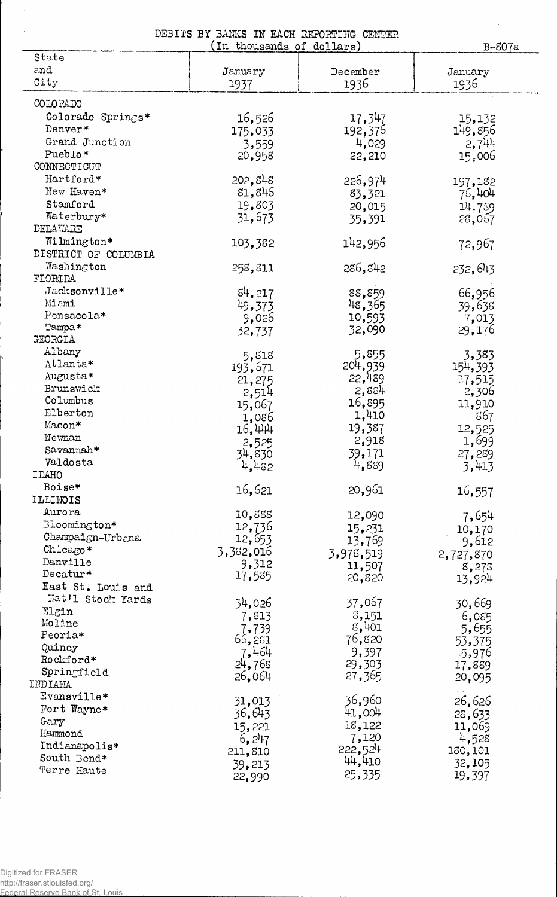| DEBITS BY BANKS IN EACH REPORTING CENTER |  |  |  |                           |  |
|------------------------------------------|--|--|--|---------------------------|--|
|                                          |  |  |  | (In thousands of dollars) |  |

B-807a

 $\hat{\mathcal{A}}$ 

|                                                             | (in monsanas or gottars) |           | B–807a           |
|-------------------------------------------------------------|--------------------------|-----------|------------------|
| State                                                       |                          |           |                  |
| and                                                         | January                  | December  | January          |
| City                                                        | 1937                     | 1936      | 1936             |
| COLORADO                                                    |                          |           |                  |
|                                                             |                          |           |                  |
| Colorado Springs*                                           | 16,526                   | 17,347    | 15,132           |
| Denver*                                                     | 175,033                  | 192,376   | 149,856          |
| Grand Junction                                              | 3,559                    | 4,029     | 2,744            |
| Pueblo*                                                     | 20,958                   | 22,210    | 15,006           |
| CONNECTICUT                                                 |                          |           |                  |
| Hartford*                                                   | 202,848                  | 226,974   | 197,182          |
| New Haven*                                                  | 81,846                   | 83,321    | 76,404           |
| Stamford                                                    | 19,803                   | 20,015    | 14,739           |
| Waterbury*                                                  | 31,673                   | 35,391    | 28,067           |
| DELAWARE                                                    |                          |           |                  |
| Wilmington*                                                 | 103,382                  | 142,956   | 72,967           |
| DISTRICT OF COLUMBIA                                        |                          |           |                  |
| Washington                                                  | 258,811                  | 286,842   | 232,643          |
| FLORIDA                                                     |                          |           |                  |
| Jacksonville*                                               | 84,217                   | 88,859    | 66,956           |
| Miami                                                       | 49,373                   | 48,365    | 39,638           |
| Pensacola*                                                  | 9,026                    | 10,593    | 7,013            |
| Tampa*                                                      | 32,737                   | 32,090    | 29,176           |
| <b>GEORGIA</b>                                              |                          |           |                  |
| Albany                                                      | 5,818                    | 5,855     | 3,383            |
| Atlanta*                                                    | 193,671                  | 204,939   | 154 <b>,</b> 393 |
| Augusta*                                                    | 21,275                   | 22,489    | 17,515           |
| Brunswick                                                   | 2,514                    | 2,834     | 2,306            |
| Columbus                                                    | 15,067                   | 16,895    | 11,910           |
| Elberton                                                    | 1,086                    | 1,410     | ន67              |
| Macon*                                                      | 16,444                   | 19,387    | 12,525           |
| Newnan                                                      | 2,525                    | 2,918     | 1,699            |
| Savannah*                                                   | 34,830                   | 39,171    | 27,259           |
| Valdosta                                                    | 4,432                    | 4,889     | 3,413            |
| <b>IDAHO</b>                                                |                          |           |                  |
| Boise*                                                      | 16,521                   | 20,961    | 16,557           |
| ILLINOIS                                                    |                          |           |                  |
| Aurora                                                      | 10,888                   | 12,090    | 7,654            |
| Bloomington*<br>$Champa1_{\mathcal{K}}n-Urb_{\mathcal{A}}n$ | 12,736                   | 15,231    | 10,170           |
|                                                             | 12,653                   | 13,769    | 9,612            |
| Chicago*<br>Danville                                        | 3,352,016                | 3,978,519 | 2,727,870        |
| Decatur $\ast$                                              | 9,312                    | 11,507    | 8,275            |
|                                                             | 17,585                   | 20,820    | 13,924           |
| East St. Louis and<br>Nat'l Stock Yards                     |                          |           |                  |
| $\mathtt{El}$ gin                                           | 34,026                   | 37,067    | 30,669           |
| Moline                                                      | 7,813                    | 8,151     | 6,085            |
| Peoria*                                                     | 7,739                    | 8,401     | 5,655            |
| Quincy                                                      | 66,251                   | 76,820    | 53,375           |
| Rockford*                                                   | 7,464                    | 9,397     | $-5,976$         |
| Springfield                                                 | 24,763                   | 29,303    | 17,889           |
| INDIANA                                                     | 26,064                   | 27,365    | 20,095           |
| Evansville*                                                 |                          |           |                  |
| Fort Wayne*                                                 | 31,013                   | 36,960    | 26,626           |
| Gary                                                        | 36,643                   | 41,004    | 25,633           |
| Hammond                                                     | 15,221                   | 18,122    | 11,069           |
| Indianapolis*                                               | 6, 247                   | 7,120     | 4,528            |
| South Bend*                                                 | 211,810                  | 222,524   | 130,101          |
| Terre Haute                                                 | 39,213                   | 44,410    | 32,105           |
|                                                             | 22,990                   | 25,335    | 19,397           |

 $\ddot{\phantom{a}}$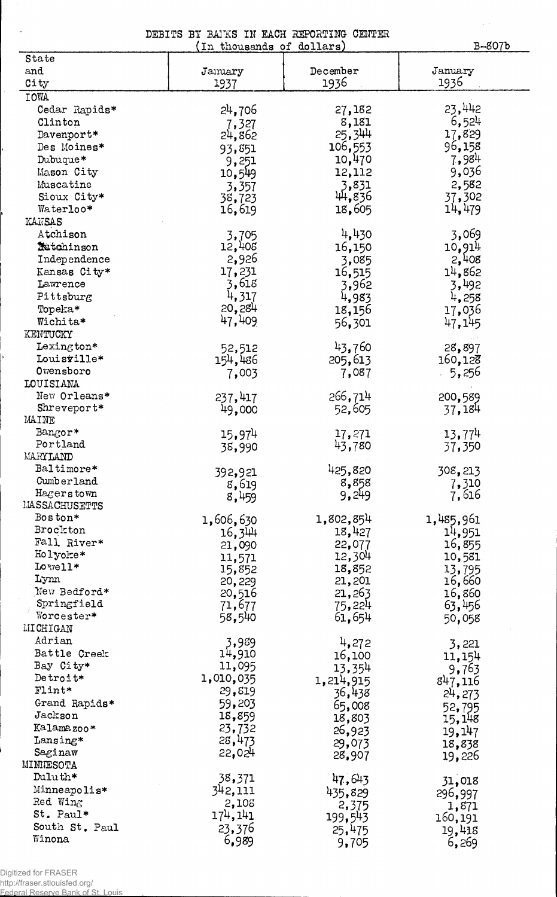DEBITS BY BAIKS IN EACH REPORTING CENTER<br>(In thousands of dollars)

B~8Q7b

 $\hat{\mathcal{L}}(\hat{\mathcal{L}})$ 

| State                 |                 |             |           |
|-----------------------|-----------------|-------------|-----------|
| and                   | Jamuary         | December    | January   |
| City                  | 1937            | 1936        | 1936      |
| IOWA                  |                 |             |           |
| Cedar Rapids*         | 24,706          | 27,182      | 23,442    |
| Clinton               | 7,327           | 8,181       | 6,524     |
| Davenport*            | 24,862          | 25,344      | 17,829    |
| Des Moines*           | 93,851          | 106,553     | 96,158    |
| Dubuque*              | 9,251           | 10,470      | 7,984     |
| Mason City            | 10,549          | 12,112      | 9,036     |
| Muscatine             | 3,357           | 3,831       | 2,582     |
| Sioux City*           | 38,723          | 44,836      | 37,302    |
| Waterloo*             | 16,619          | 18,605      | 14,479    |
| KANSAS                |                 |             |           |
| Atchison              | 3,705           | 4,430       | 3,069     |
| <b>Ratchinson</b>     | 12,408          | 16,150      | 10,914    |
| Independence          | 2,926           | 3,085       | 2,408     |
| Kansas City*          | 17,231          | 16,515      | 14,862    |
| Lawrence              | 3,618           | 3,962       | 3,492     |
| Pittsburg             | 4,317           | 4,983       | 4,258     |
| Topeka*               | 20,284          | 18,156      | 17,036    |
| Wichita*              | 47,409          | 56,301      | 47,145    |
| KENTUCKY              |                 |             |           |
| $Lexington*$          | 52,512          | 43,760      | 28,897    |
| Louisville*           | 154,486         | 205,613     | 160, 128  |
| Owensboro             | 7,003           | 7,087       | 5,256     |
| LOUISIANA             |                 |             |           |
| New Orleans*          | 237,417         | 266,714     | 200,589   |
| Shreveport*           | 49,000          | 52,605      | 37,184    |
| MAINE                 |                 |             |           |
| Bangor*               | 15,974          | 17,271      | 13,774    |
| Portland              | 38,990          | 43,780      | 37,350    |
| MARYLAND              |                 |             |           |
| Baltimore*            | 392,921         | 425,820     | 308,213   |
| Cumberland            | 8,619           | 8,858       | 7,310     |
| Hagerstown            | 8,459           | 9,249       | 7,616     |
| <b>LIASSACHUSETTS</b> |                 |             |           |
| Boston*               | 1,606,630       | 1,802,854   | 1,485,961 |
| Brockton              | 16,344          | 18,427      | 14,951    |
| Fall River*           | 21,090          | 22,077      | 16,855    |
| Holyoke*<br>Lowell*   | 11,571          | 12,304      | 10,581    |
| Lynn                  | 15,852          | 18,852      | 13,795    |
| New Bedford*          | 20,229          | 21,201      | 16,660    |
| Springfield           | 20,516          | 21,263      | 16,860    |
| Worcester*            | 71,677          | 75,224      | 63,456    |
| <b>MICHIGAN</b>       | 58,540          | 61,654      | 50,058    |
| Adrian                |                 |             |           |
| Battle Creek          | 3,989<br>14,910 | 4,272       | 3,221     |
| Bay City*             | 11,095          | 16,100      | 11,154    |
| Detroit*              | 1,010,035       | 13,354      | 9,763     |
| $F1int*$              | 29,819          | 1, 214, 915 | 847,116   |
| Grand Rapids*         | 59,203          | 36,438      | 24, 273   |
| Jackson               | 18,859          | 65,008      | 52,795    |
| Kalamazoo*            | 23,732          | 18,803      | 15,148    |
| Lansing*              | 28,473          | 26,923      | 19,147    |
| Saginaw               | 22,024          | 29,073      | 18,838    |
| MINNESOTA             |                 | 28,907      | 19,226    |
| Duluth*               | 38,371          | 47,643      |           |
| Minneapolis*          | 342,111         |             | 31,018    |
| Red Wing              | 2,105           | 435,829     | 296,997   |
| St. Paul*             | 174, 141        | 2,375       | 1,871     |
| South St. Paul        | 23,376          | 199,543     | 160,191   |
| Winona                | 6,989           | 25,475      | 19,418    |
|                       |                 | 9,705       | 6,269     |

Digitized for FRASER http://fraser.stlouisfed.org/

Federal Reserve Bank of St. Louis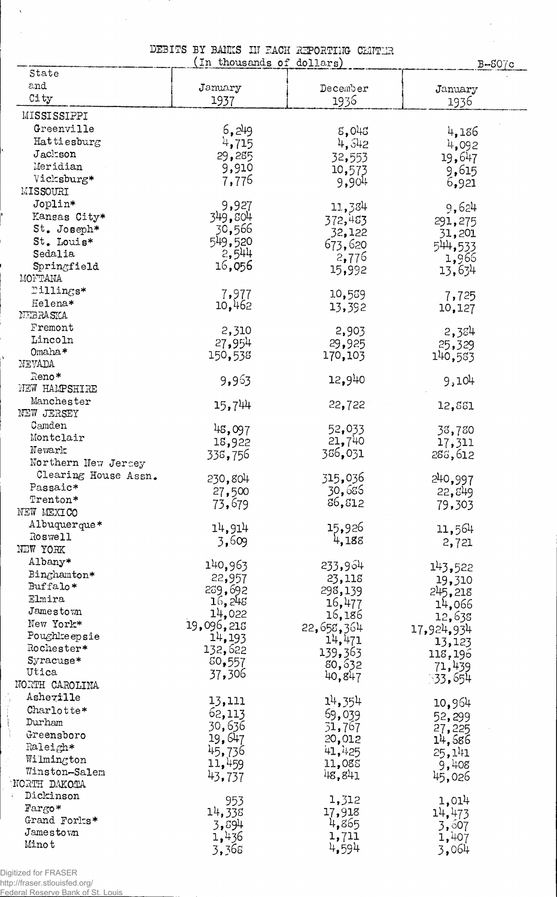|  |  | DEBITS BY BANKS IN EACH REPORTING CENTER |  |
|--|--|------------------------------------------|--|
|  |  | (In thousands of dollars)                |  |

 $\hat{\boldsymbol{\beta}}$  $\sim 10$ 

|                      | (In thousands of dollars) | popula di presed la caun nerunista uniter | $B-SO$ /c  |
|----------------------|---------------------------|-------------------------------------------|------------|
| State                |                           |                                           |            |
| and                  | January                   | December                                  | January    |
| City                 | 1937                      | 1936                                      | 1936       |
| MISSISSIPPI          |                           |                                           |            |
| Greenville           | 6,249                     | 5,045                                     | 4,186      |
| Hattiesburg          | 4,715                     | 4,542                                     | 4,092      |
| Jackson              | 29,285                    | 32,553                                    | 19,647     |
| Meridian             | 9,910                     |                                           |            |
| Vicksburg*           | 7,776                     | 10,573<br>9,904                           | 9,615      |
| MISSOURI             |                           |                                           | 6,921      |
| Joplin*              | 9,927                     |                                           |            |
| Kansas City*         | 349,804                   | 11,384                                    | 9,624      |
| St. Joseph*          | 30,566                    | 372,483                                   | 291,275    |
| St. Louis*           | 549,520                   | 32,122                                    | 31,201     |
| Sedalia              | 2,544                     | 673,620                                   | 544,533    |
| Springfield          | 16,056                    | 2,776                                     | 1,966      |
| MONTANA              |                           | 15,992                                    | 13,634     |
| Dillings*            |                           |                                           |            |
| Helena*              | 7,977                     | 10,559                                    | 7,725      |
| NEBRASKA             | 10,462                    | 13,392                                    | 10,127     |
|                      |                           |                                           |            |
| Fremont              | 2,310                     | 2,903                                     | 2,384      |
| Lincoln              | 27,954                    | 29,925                                    | 25,329     |
| Omaha*               | 150,538                   | 170,103                                   | 140,583    |
| NEVADA               |                           |                                           |            |
| Reno*                | 9,963                     | 12,940                                    | 9,104      |
| NEW HAMPSHIRE        |                           |                                           |            |
| Manchester           | 15,744                    | 22,722                                    | 12,561     |
| NEW JERSEY           |                           |                                           |            |
| Camden               | 48,097                    | 52,033                                    | 38,780     |
| Montclair            | 18,922                    | 21,740                                    | 17,311     |
| Newark               | 338,756                   | 386,031                                   | 286,612    |
| Northern New Jersey  |                           |                                           |            |
| Clearing House Assn. | 230,804                   | 315,036                                   | 240,997    |
| Passaic*             | 27,500                    | 30,686                                    | 22,849     |
| $Trenton*$           | 73,679                    | 86,812                                    | 79,303     |
| NEW MEXICO           |                           |                                           |            |
| Albuquerque*         | 14,914                    | 15,926                                    | 11,564     |
| Roswell              | 3,609                     | 4,188                                     | 2,721      |
| NEW YORK             |                           |                                           |            |
| Albany*              | 140,963                   | 233,964                                   | 143,522    |
| Binghamton*          | 22,957                    | 23,118                                    | 19,310     |
| Buffalo*             | 289,692                   | 298,139                                   | 245,218    |
| Elmira               | 16,248                    | 16,477                                    | 14,066     |
| Jamestown            | 14,022                    | 16,186                                    | 12,638     |
| New York*            | 19,096,218                | 22,658,364                                | 17,924,934 |
| Poughkeepsie         | 14,193                    | 14,471                                    | 13,123     |
| Rochester*           | 132,622                   | 139,363                                   | 118,196    |
| Syracuse*            | 50,557                    | 80,632                                    | 71,439     |
| Utica                | 37,306                    | 40,847                                    | 33,654     |
| NORTH CAROLINA       |                           |                                           |            |
| Asheville            | 13,111                    | $1^{1}$ , 35 <sup>1</sup>                 | 10,964     |
| Charlotte*           | 62,113                    | 69,039                                    |            |
| Durham               | 30,636                    | 51,767                                    | 52,299     |
| Greensboro           | 19,647                    | 20,012                                    | 27,225     |
| Raleigh*             | 45,736                    | 41,425                                    | 14,586     |
| Wilmington           | 11,459                    | 11,085                                    | 25,141     |
| Winston-Salem        |                           | 48,841                                    | 9,408      |
| NORTH DAKOTA         | 43,737                    |                                           | 45,026     |
| Dickinson            |                           |                                           |            |
| Fargo*               | 953                       | 1,312                                     | 1,014      |
| Grand Forks*         | 14,338                    | 17,918                                    | 14,473     |
| $J$ amestown         | 3,894                     | 4,865<br>1,711                            | 3,607      |
| Minot                | 1,436                     | 4,594                                     | 1,407      |
|                      | 3,368                     |                                           | 3,064      |

 $\bar{\lambda}$ 

 $\mathcal{L}(\mathcal{A})$ 

Digitized for FRASER<br>http://fraser.stlouisfed.org/<br>F<u>ed</u>eral Reserve Bank of St. Louis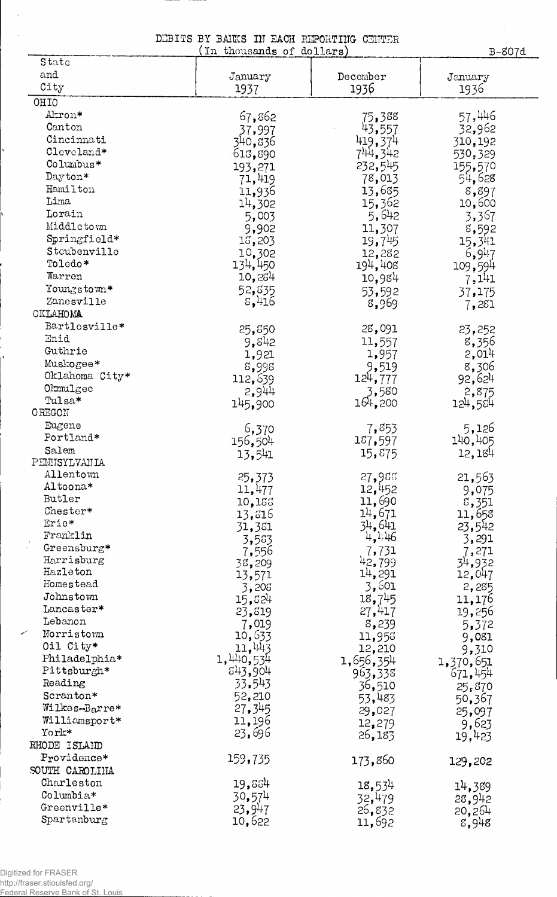DEBITS BY BAINS IN EACH REPORTING CENTER (In thousands of dollars)

B-807d

 $\mathcal{A}^{\mathcal{A}}$ 

| State                       |                        |                  |                    |
|-----------------------------|------------------------|------------------|--------------------|
| and                         | January                | December         | January            |
| City                        | 1937                   | 1936             | 1936               |
| OHIO                        |                        |                  |                    |
| Akron*                      | 67,862                 | 75,388           | 57,446             |
| Canton                      | 37,997                 | 43,557           | 32,962             |
| Cincinnati                  | 340,836                | 419,374          | 310,192            |
| Cleveland*                  | 613,890                | 744,342          | 530,329            |
| Columbus*<br>Dayton*        | 193,271                | 232,545          | 155,570            |
| Hamilton                    | 71,419                 | 78,013           | 54,628             |
| Lima                        | 11,936                 | 13,685           | 8,897              |
| Lorain                      | 14,302<br>5,003        | 15,362<br>5,642  | 10,600             |
| Middletown                  | 9,902                  | 11,307           | 3,367<br>8,592     |
| Springfield*                | 15,203                 | 19,745           | 15,341             |
| Stoubenville                | 10,302                 | 12,282           | 6,9 <sup>1</sup> 7 |
| Toledo*                     | 134,450                | 194,408          | 109,594            |
| Warren                      | 10,264                 | 10,984           | 7,141              |
| Youngstown*                 | 52,835                 | 53,592           | 37,175             |
| Zanesville                  | 5,416                  | 8,969            | 7,281              |
| OKLAHOMA                    |                        |                  |                    |
| Bartlesville*               | 25,850                 | 28,091           | 23,252             |
| Enid                        | 9,542                  | 11,557           | 8,356              |
| Guthrie                     | 1,921                  | 1,957            | 2,014              |
| Muskogee*<br>Oklahoma City* | 8,998                  | 9,519            | 8,306              |
| $O$ l $mu$ l $g$ ee         | 112,639                | 124,777          | 92,624             |
| Tulsa*                      | 2,944                  | 3,580            | 2,875              |
| <b>OREGON</b>               | 145,900                | 164,200          | 124,584            |
| Eugene                      | 6,370                  | 7,853            | 5,126              |
| Portland*                   | 156,504                | 187,597          | 140,405            |
| Salem                       | 13,541                 | 15,875           | 12,184             |
| PEMISYLVANIA                |                        |                  |                    |
| Allentown                   | 25,373                 | 27,986           | 21,563             |
| Altoona*                    | 11,477                 | 12,452           | 9,075              |
| Butler                      | 10,155                 | 11,690           | 3,351              |
| Chester*<br>Erie*           | 13,816                 | 14,671           | 11,658             |
| Franklin                    | 31,381                 | 34,641<br>4,446  | 23,542             |
| Greensburg*                 | 3,583                  |                  | 3,291              |
| Harrisburg                  | 7,556<br>38,209        | 7,731<br>42,799  | 7,271<br>34,932    |
| Hazleton                    | 13,571                 | 14,291           | 12,047             |
| Homestead                   | 3,205                  | 3,601            | 2,285              |
| Johnstown                   | 15,524                 | 18,745           | 11,176             |
| Lancaster*                  | 23,819                 | 27,417           | 19,256             |
| Lebanon                     | 7,019                  | 8,239            | 5,372              |
| Norristown                  | 10,633                 | 11,956           | 9,081              |
| Oil City*<br>Philadelphia*  | 11,443                 | 12,210           | 9,310              |
| Pittsburgh*                 | 1, 440, 534<br>843,904 | 1,656,354        | 1,370,651          |
| Reading                     | 33.543                 | 963,338          | 671,454            |
| Scranton*                   | 52,210                 | 36,510<br>53,483 | 25,870             |
| Wilkes-Barre*               | 27,345                 | 29,027           | 50,367<br>25,097   |
| Williamsport*               | 11,196                 | 12,279           | 9,623              |
| York*                       | 23,696                 | 26,183           | 19,423             |
| RHODE ISLAND                |                        |                  |                    |
| Providence*                 | 159,735                | 173,860          | 129,202            |
| SOUTH CAROLINA              |                        |                  |                    |
| Charleston                  | 19,884                 | 18,534           | 14,389             |
| Columbia*                   | 30,574                 | 32,479           | 28,942             |
| Greenville*                 | 23,947                 | 26,832           | 20,264             |
| Spartanburg                 | 10,622                 | 11,692           | 8,948              |

 $\overline{\mathscr{C}}$ 

 $\ddot{\phantom{a}}$